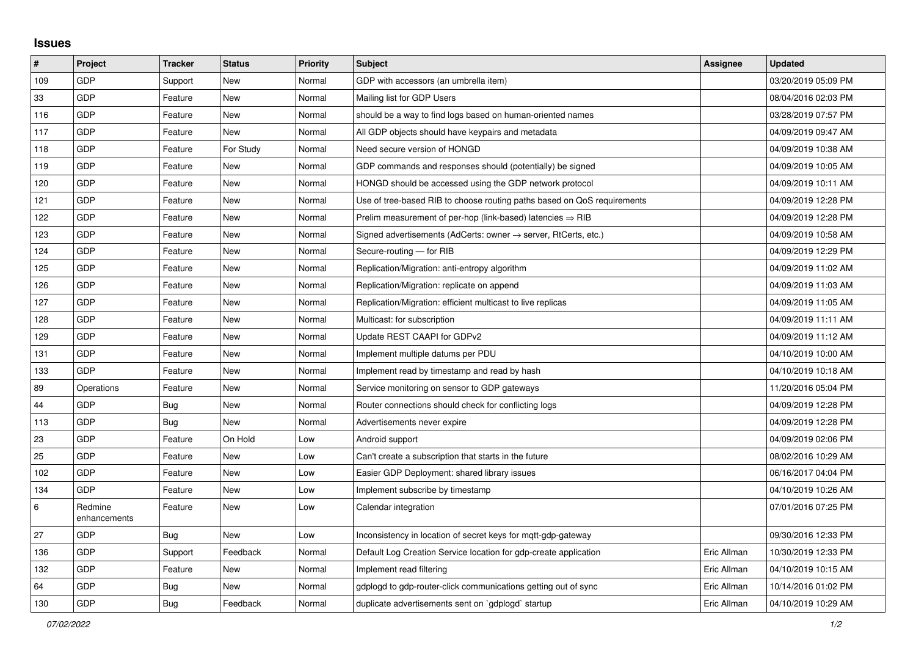## **Issues**

| #       | Project                 | <b>Tracker</b> | <b>Status</b> | <b>Priority</b> | <b>Subject</b>                                                             | Assignee    | <b>Updated</b>      |
|---------|-------------------------|----------------|---------------|-----------------|----------------------------------------------------------------------------|-------------|---------------------|
| 109     | GDP                     | Support        | <b>New</b>    | Normal          | GDP with accessors (an umbrella item)                                      |             | 03/20/2019 05:09 PM |
| 33      | GDP                     | Feature        | <b>New</b>    | Normal          | Mailing list for GDP Users                                                 |             | 08/04/2016 02:03 PM |
| 116     | GDP                     | Feature        | <b>New</b>    | Normal          | should be a way to find logs based on human-oriented names                 |             | 03/28/2019 07:57 PM |
| 117     | GDP                     | Feature        | <b>New</b>    | Normal          | All GDP objects should have keypairs and metadata                          |             | 04/09/2019 09:47 AM |
| 118     | GDP                     | Feature        | For Study     | Normal          | Need secure version of HONGD                                               |             | 04/09/2019 10:38 AM |
| 119     | GDP                     | Feature        | New           | Normal          | GDP commands and responses should (potentially) be signed                  |             | 04/09/2019 10:05 AM |
| 120     | GDP                     | Feature        | New           | Normal          | HONGD should be accessed using the GDP network protocol                    |             | 04/09/2019 10:11 AM |
| 121     | GDP                     | Feature        | <b>New</b>    | Normal          | Use of tree-based RIB to choose routing paths based on QoS requirements    |             | 04/09/2019 12:28 PM |
| 122     | GDP                     | Feature        | New           | Normal          | Prelim measurement of per-hop (link-based) latencies $\Rightarrow$ RIB     |             | 04/09/2019 12:28 PM |
| 123     | GDP                     | Feature        | <b>New</b>    | Normal          | Signed advertisements (AdCerts: owner $\rightarrow$ server, RtCerts, etc.) |             | 04/09/2019 10:58 AM |
| 124     | GDP                     | Feature        | <b>New</b>    | Normal          | Secure-routing - for RIB                                                   |             | 04/09/2019 12:29 PM |
| 125     | GDP                     | Feature        | <b>New</b>    | Normal          | Replication/Migration: anti-entropy algorithm                              |             | 04/09/2019 11:02 AM |
| 126     | GDP                     | Feature        | New           | Normal          | Replication/Migration: replicate on append                                 |             | 04/09/2019 11:03 AM |
| 127     | GDP                     | Feature        | New           | Normal          | Replication/Migration: efficient multicast to live replicas                |             | 04/09/2019 11:05 AM |
| 128     | GDP                     | Feature        | New           | Normal          | Multicast: for subscription                                                |             | 04/09/2019 11:11 AM |
| 129     | GDP                     | Feature        | <b>New</b>    | Normal          | Update REST CAAPI for GDPv2                                                |             | 04/09/2019 11:12 AM |
| 131     | GDP                     | Feature        | New           | Normal          | Implement multiple datums per PDU                                          |             | 04/10/2019 10:00 AM |
| 133     | GDP                     | Feature        | <b>New</b>    | Normal          | Implement read by timestamp and read by hash                               |             | 04/10/2019 10:18 AM |
| 89      | Operations              | Feature        | New           | Normal          | Service monitoring on sensor to GDP gateways                               |             | 11/20/2016 05:04 PM |
| 44      | GDP                     | <b>Bug</b>     | <b>New</b>    | Normal          | Router connections should check for conflicting logs                       |             | 04/09/2019 12:28 PM |
| 113     | GDP                     | <b>Bug</b>     | <b>New</b>    | Normal          | Advertisements never expire                                                |             | 04/09/2019 12:28 PM |
| 23      | GDP                     | Feature        | On Hold       | Low             | Android support                                                            |             | 04/09/2019 02:06 PM |
| 25      | GDP                     | Feature        | <b>New</b>    | Low             | Can't create a subscription that starts in the future                      |             | 08/02/2016 10:29 AM |
| 102     | GDP                     | Feature        | <b>New</b>    | Low             | Easier GDP Deployment: shared library issues                               |             | 06/16/2017 04:04 PM |
| 134     | GDP                     | Feature        | <b>New</b>    | Low             | Implement subscribe by timestamp                                           |             | 04/10/2019 10:26 AM |
| $\,6\,$ | Redmine<br>enhancements | Feature        | <b>New</b>    | Low             | Calendar integration                                                       |             | 07/01/2016 07:25 PM |
| 27      | GDP                     | Bug            | <b>New</b>    | Low             | Inconsistency in location of secret keys for mqtt-gdp-gateway              |             | 09/30/2016 12:33 PM |
| 136     | GDP                     | Support        | Feedback      | Normal          | Default Log Creation Service location for gdp-create application           | Eric Allman | 10/30/2019 12:33 PM |
| 132     | GDP                     | Feature        | <b>New</b>    | Normal          | Implement read filtering                                                   | Eric Allman | 04/10/2019 10:15 AM |
| 64      | GDP                     | <b>Bug</b>     | <b>New</b>    | Normal          | gdplogd to gdp-router-click communications getting out of sync             | Eric Allman | 10/14/2016 01:02 PM |
| 130     | GDP                     | <b>Bug</b>     | Feedback      | Normal          | duplicate advertisements sent on `gdplogd` startup                         | Eric Allman | 04/10/2019 10:29 AM |